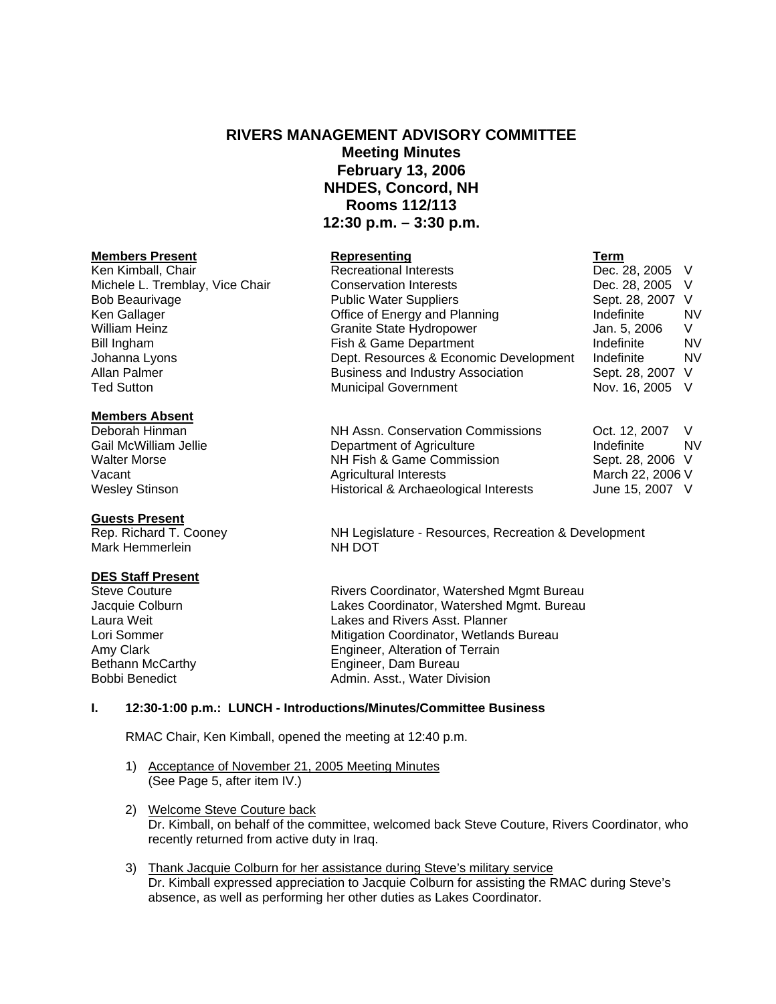# **RIVERS MANAGEMENT ADVISORY COMMITTEE Meeting Minutes February 13, 2006 NHDES, Concord, NH Rooms 112/113 12:30 p.m. – 3:30 p.m.**

Public Water Suppliers

# **Members Present Representing Term**

Ken Kimball, Chair **Recreational Interests** Dec. 28, 2005 V Michele L. Tremblay, Vice Chair Conservation Interests Conserversity Dec. 28, 2005 V<br>Bob Beaurivage Conservation Public Water Suppliers Conserversity Sept. 28, 2007 V Ken Gallager The Contract of Energy and Planning The Indefinite NV and Planning Indefinite William Heinz Granite State Hydropower Jan. 5, 2006 V Bill Ingham Fish & Game Department Indefinite Indefinite Johanna Lyons Dept. Resources & Economic Development Indefinite NV Allan Palmer **Business and Industry Association** Sept. 28, 2007 V Ted Sutton **Municipal Government** Nov. 16, 2005 V

# **Members Absent**

Deborah Hinman NH Assn. Conservation Commissions Oct. 12, 2007 V Gail McWilliam Jellie **Community Community** Department of Agriculture **Indefinite** Indefinite NV Walter Morse **NH Fish & Game Commission** Sept. 28, 2006 V Vacant **Agricultural Interests** March 22, 2006 V

# **Guests Present**

Mark Hemmerlein NH DOT

#### **DES Staff Present**

# Wesley Stinson **Historical & Archaeological Interests** June 15, 2007 V

Rep. Richard T. Cooney NH Legislature - Resources, Recreation & Development

Steve Couture **Rivers Coordinator, Watershed Mgmt Bureau** Jacquie Colburn Lakes Coordinator, Watershed Mgmt. Bureau Laura Weit Lakes and Rivers Asst. Planner Lori Sommer **Mitigation Coordinator**, Wetlands Bureau Amy Clark Engineer, Alteration of Terrain Bethann McCarthy **Engineer**, Dam Bureau Bobbi Benedict **Admin.** Asst., Water Division

# **I. 12:30-1:00 p.m.: LUNCH - Introductions/Minutes/Committee Business**

RMAC Chair, Ken Kimball, opened the meeting at 12:40 p.m.

- 1) Acceptance of November 21, 2005 Meeting Minutes (See Page 5, after item IV.)
- 2) Welcome Steve Couture back Dr. Kimball, on behalf of the committee, welcomed back Steve Couture, Rivers Coordinator, who recently returned from active duty in Iraq.
- 3) Thank Jacquie Colburn for her assistance during Steve's military service Dr. Kimball expressed appreciation to Jacquie Colburn for assisting the RMAC during Steve's absence, as well as performing her other duties as Lakes Coordinator.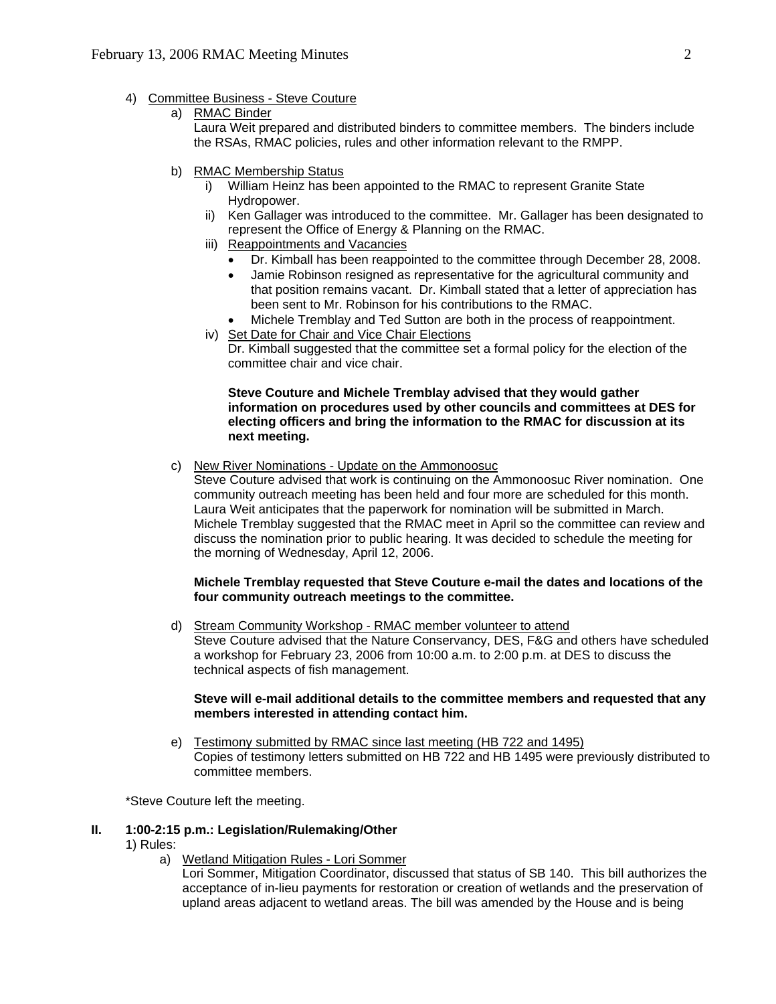- 4) Committee Business Steve Couture
	- a) RMAC Binder

 Laura Weit prepared and distributed binders to committee members. The binders include the RSAs, RMAC policies, rules and other information relevant to the RMPP.

- b) RMAC Membership Status
	- i) William Heinz has been appointed to the RMAC to represent Granite State Hydropower.
	- ii) Ken Gallager was introduced to the committee. Mr. Gallager has been designated to represent the Office of Energy & Planning on the RMAC.
	- iii) Reappointments and Vacancies
		- Dr. Kimball has been reappointed to the committee through December 28, 2008.
		- Jamie Robinson resigned as representative for the agricultural community and that position remains vacant. Dr. Kimball stated that a letter of appreciation has been sent to Mr. Robinson for his contributions to the RMAC.
		- Michele Tremblay and Ted Sutton are both in the process of reappointment.
	- iv) Set Date for Chair and Vice Chair Elections Dr. Kimball suggested that the committee set a formal policy for the election of the committee chair and vice chair.

#### **Steve Couture and Michele Tremblay advised that they would gather information on procedures used by other councils and committees at DES for electing officers and bring the information to the RMAC for discussion at its next meeting.**

c) New River Nominations - Update on the Ammonoosuc

 Steve Couture advised that work is continuing on the Ammonoosuc River nomination. One community outreach meeting has been held and four more are scheduled for this month. Laura Weit anticipates that the paperwork for nomination will be submitted in March. Michele Tremblay suggested that the RMAC meet in April so the committee can review and discuss the nomination prior to public hearing. It was decided to schedule the meeting for the morning of Wednesday, April 12, 2006.

# **Michele Tremblay requested that Steve Couture e-mail the dates and locations of the four community outreach meetings to the committee.**

d) Stream Community Workshop - RMAC member volunteer to attend Steve Couture advised that the Nature Conservancy, DES, F&G and others have scheduled a workshop for February 23, 2006 from 10:00 a.m. to 2:00 p.m. at DES to discuss the technical aspects of fish management.

#### **Steve will e-mail additional details to the committee members and requested that any members interested in attending contact him.**

e) Testimony submitted by RMAC since last meeting (HB 722 and 1495) Copies of testimony letters submitted on HB 722 and HB 1495 were previously distributed to committee members.

\*Steve Couture left the meeting.

# **II. 1:00-2:15 p.m.: Legislation/Rulemaking/Other**

- 1) Rules:
	- a) Wetland Mitigation Rules Lori Sommer

Lori Sommer, Mitigation Coordinator, discussed that status of SB 140. This bill authorizes the acceptance of in-lieu payments for restoration or creation of wetlands and the preservation of upland areas adjacent to wetland areas. The bill was amended by the House and is being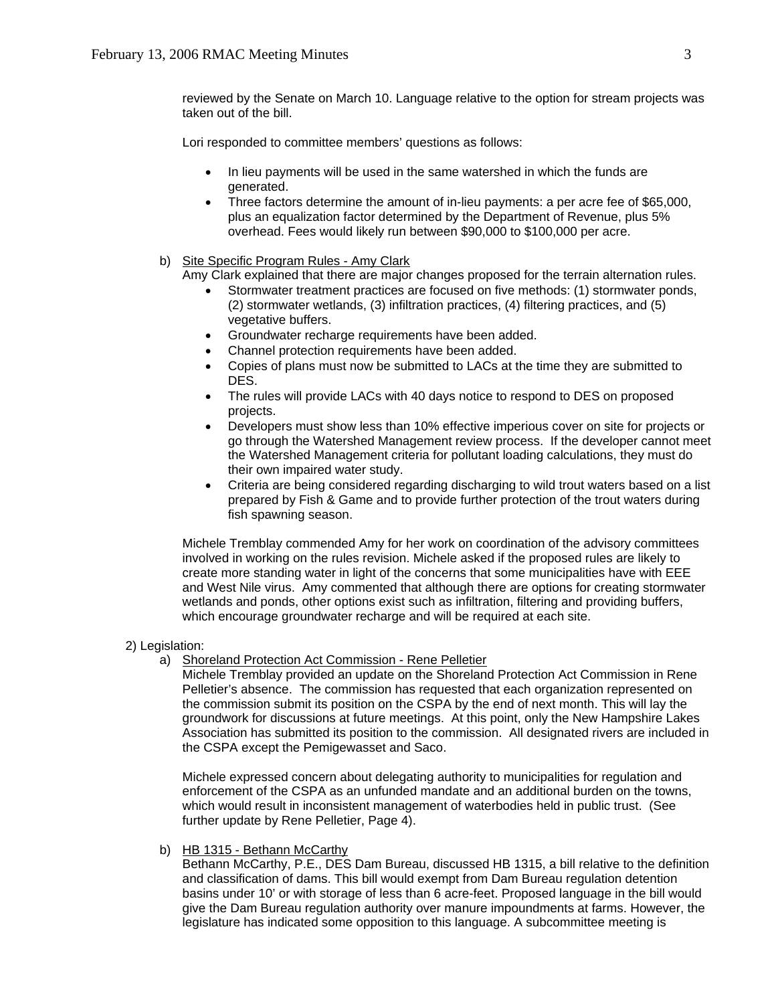reviewed by the Senate on March 10. Language relative to the option for stream projects was taken out of the bill.

Lori responded to committee members' questions as follows:

- In lieu payments will be used in the same watershed in which the funds are generated.
- Three factors determine the amount of in-lieu payments: a per acre fee of \$65,000, plus an equalization factor determined by the Department of Revenue, plus 5% overhead. Fees would likely run between \$90,000 to \$100,000 per acre.

# b) Site Specific Program Rules - Amy Clark

Amy Clark explained that there are major changes proposed for the terrain alternation rules.

- Stormwater treatment practices are focused on five methods: (1) stormwater ponds, (2) stormwater wetlands, (3) infiltration practices, (4) filtering practices, and (5) vegetative buffers.
- Groundwater recharge requirements have been added.
- Channel protection requirements have been added.
- Copies of plans must now be submitted to LACs at the time they are submitted to DES.
- The rules will provide LACs with 40 days notice to respond to DES on proposed projects.
- Developers must show less than 10% effective imperious cover on site for projects or go through the Watershed Management review process. If the developer cannot meet the Watershed Management criteria for pollutant loading calculations, they must do their own impaired water study.
- Criteria are being considered regarding discharging to wild trout waters based on a list prepared by Fish & Game and to provide further protection of the trout waters during fish spawning season.

Michele Tremblay commended Amy for her work on coordination of the advisory committees involved in working on the rules revision. Michele asked if the proposed rules are likely to create more standing water in light of the concerns that some municipalities have with EEE and West Nile virus. Amy commented that although there are options for creating stormwater wetlands and ponds, other options exist such as infiltration, filtering and providing buffers, which encourage groundwater recharge and will be required at each site.

- 2) Legislation:
	- a) Shoreland Protection Act Commission Rene Pelletier

Michele Tremblay provided an update on the Shoreland Protection Act Commission in Rene Pelletier's absence. The commission has requested that each organization represented on the commission submit its position on the CSPA by the end of next month. This will lay the groundwork for discussions at future meetings. At this point, only the New Hampshire Lakes Association has submitted its position to the commission. All designated rivers are included in the CSPA except the Pemigewasset and Saco.

Michele expressed concern about delegating authority to municipalities for regulation and enforcement of the CSPA as an unfunded mandate and an additional burden on the towns, which would result in inconsistent management of waterbodies held in public trust. (See further update by Rene Pelletier, Page 4).

b) HB 1315 - Bethann McCarthy

Bethann McCarthy, P.E., DES Dam Bureau, discussed HB 1315, a bill relative to the definition and classification of dams. This bill would exempt from Dam Bureau regulation detention basins under 10' or with storage of less than 6 acre-feet. Proposed language in the bill would give the Dam Bureau regulation authority over manure impoundments at farms. However, the legislature has indicated some opposition to this language. A subcommittee meeting is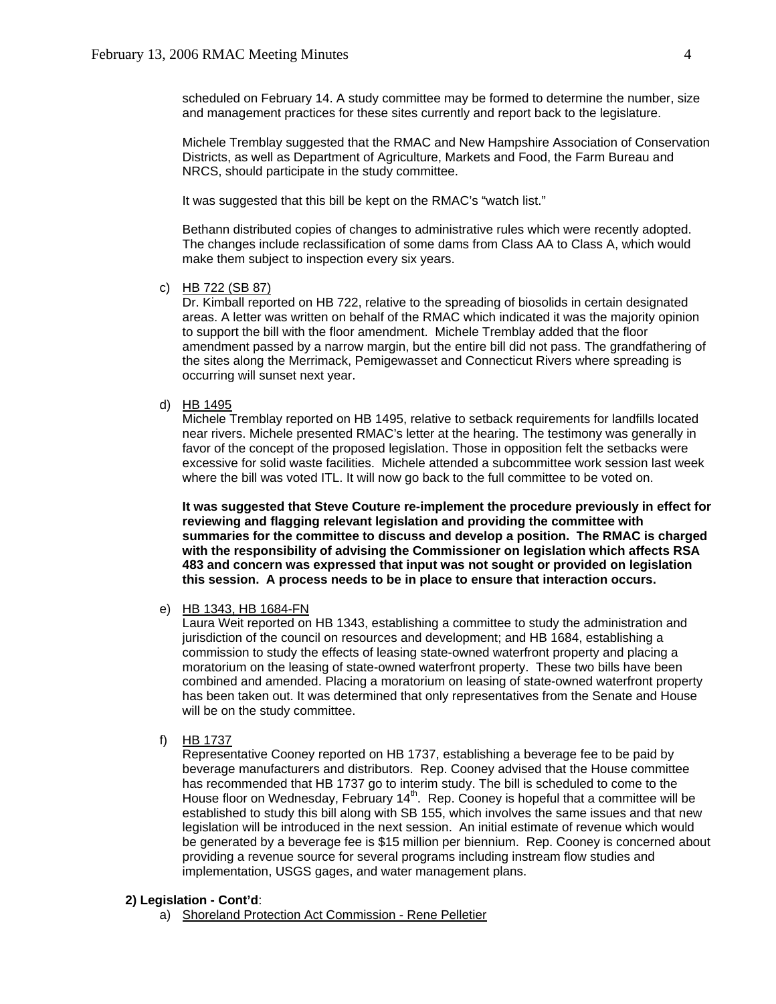scheduled on February 14. A study committee may be formed to determine the number, size and management practices for these sites currently and report back to the legislature.

Michele Tremblay suggested that the RMAC and New Hampshire Association of Conservation Districts, as well as Department of Agriculture, Markets and Food, the Farm Bureau and NRCS, should participate in the study committee.

It was suggested that this bill be kept on the RMAC's "watch list."

Bethann distributed copies of changes to administrative rules which were recently adopted. The changes include reclassification of some dams from Class AA to Class A, which would make them subject to inspection every six years.

c) HB 722 (SB 87)

Dr. Kimball reported on HB 722, relative to the spreading of biosolids in certain designated areas. A letter was written on behalf of the RMAC which indicated it was the majority opinion to support the bill with the floor amendment. Michele Tremblay added that the floor amendment passed by a narrow margin, but the entire bill did not pass. The grandfathering of the sites along the Merrimack, Pemigewasset and Connecticut Rivers where spreading is occurring will sunset next year.

d) HB 1495

Michele Tremblay reported on HB 1495, relative to setback requirements for landfills located near rivers. Michele presented RMAC's letter at the hearing. The testimony was generally in favor of the concept of the proposed legislation. Those in opposition felt the setbacks were excessive for solid waste facilities. Michele attended a subcommittee work session last week where the bill was voted ITL. It will now go back to the full committee to be voted on.

**It was suggested that Steve Couture re-implement the procedure previously in effect for reviewing and flagging relevant legislation and providing the committee with summaries for the committee to discuss and develop a position. The RMAC is charged with the responsibility of advising the Commissioner on legislation which affects RSA 483 and concern was expressed that input was not sought or provided on legislation this session. A process needs to be in place to ensure that interaction occurs.** 

e) HB 1343, HB 1684-FN

Laura Weit reported on HB 1343, establishing a committee to study the administration and jurisdiction of the council on resources and development; and HB 1684, establishing a commission to study the effects of leasing state-owned waterfront property and placing a moratorium on the leasing of state-owned waterfront property. These two bills have been combined and amended. Placing a moratorium on leasing of state-owned waterfront property has been taken out. It was determined that only representatives from the Senate and House will be on the study committee.

f) HB 1737

 Representative Cooney reported on HB 1737, establishing a beverage fee to be paid by beverage manufacturers and distributors. Rep. Cooney advised that the House committee has recommended that HB 1737 go to interim study. The bill is scheduled to come to the House floor on Wednesday, February  $14<sup>th</sup>$ . Rep. Cooney is hopeful that a committee will be established to study this bill along with SB 155, which involves the same issues and that new legislation will be introduced in the next session. An initial estimate of revenue which would be generated by a beverage fee is \$15 million per biennium. Rep. Cooney is concerned about providing a revenue source for several programs including instream flow studies and implementation, USGS gages, and water management plans.

#### **2) Legislation - Cont'd**:

a) Shoreland Protection Act Commission - Rene Pelletier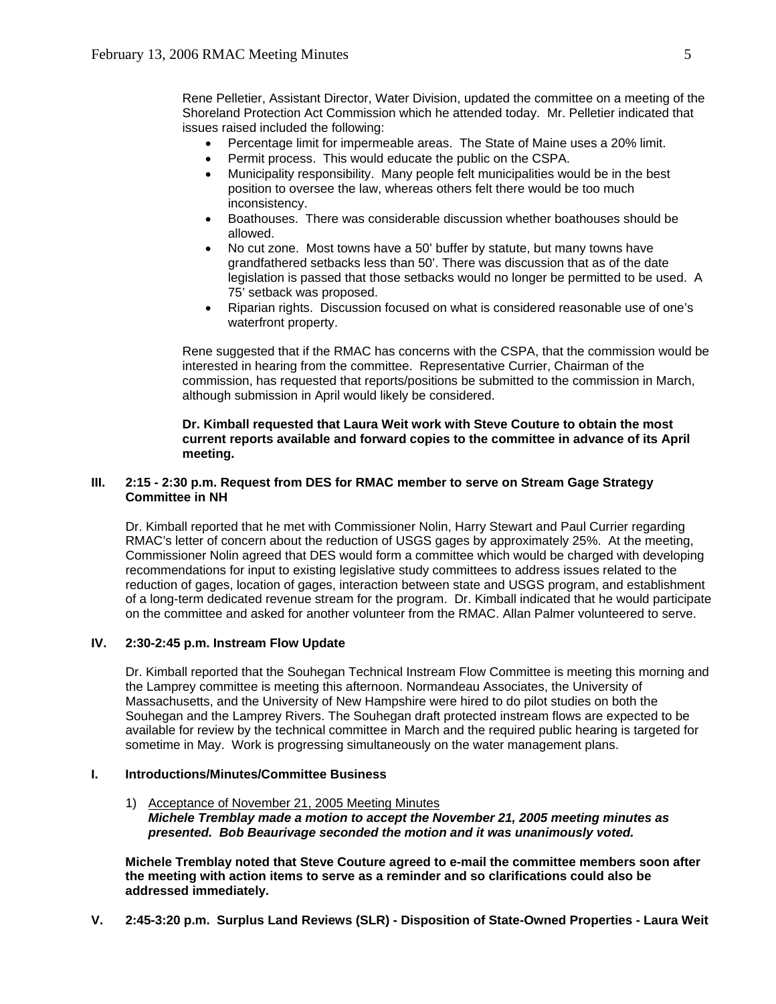Rene Pelletier, Assistant Director, Water Division, updated the committee on a meeting of the Shoreland Protection Act Commission which he attended today. Mr. Pelletier indicated that issues raised included the following:

- Percentage limit for impermeable areas. The State of Maine uses a 20% limit.
- Permit process. This would educate the public on the CSPA.
- Municipality responsibility. Many people felt municipalities would be in the best position to oversee the law, whereas others felt there would be too much inconsistency.
- Boathouses. There was considerable discussion whether boathouses should be allowed.
- No cut zone. Most towns have a 50' buffer by statute, but many towns have grandfathered setbacks less than 50'. There was discussion that as of the date legislation is passed that those setbacks would no longer be permitted to be used. A 75' setback was proposed.
- Riparian rights. Discussion focused on what is considered reasonable use of one's waterfront property.

Rene suggested that if the RMAC has concerns with the CSPA, that the commission would be interested in hearing from the committee. Representative Currier, Chairman of the commission, has requested that reports/positions be submitted to the commission in March, although submission in April would likely be considered.

# **Dr. Kimball requested that Laura Weit work with Steve Couture to obtain the most current reports available and forward copies to the committee in advance of its April meeting.**

#### **III. 2:15 - 2:30 p.m. Request from DES for RMAC member to serve on Stream Gage Strategy Committee in NH**

Dr. Kimball reported that he met with Commissioner Nolin, Harry Stewart and Paul Currier regarding RMAC's letter of concern about the reduction of USGS gages by approximately 25%. At the meeting, Commissioner Nolin agreed that DES would form a committee which would be charged with developing recommendations for input to existing legislative study committees to address issues related to the reduction of gages, location of gages, interaction between state and USGS program, and establishment of a long-term dedicated revenue stream for the program. Dr. Kimball indicated that he would participate on the committee and asked for another volunteer from the RMAC. Allan Palmer volunteered to serve.

# **IV. 2:30-2:45 p.m. Instream Flow Update**

Dr. Kimball reported that the Souhegan Technical Instream Flow Committee is meeting this morning and the Lamprey committee is meeting this afternoon. Normandeau Associates, the University of Massachusetts, and the University of New Hampshire were hired to do pilot studies on both the Souhegan and the Lamprey Rivers. The Souhegan draft protected instream flows are expected to be available for review by the technical committee in March and the required public hearing is targeted for sometime in May. Work is progressing simultaneously on the water management plans.

# **I. Introductions/Minutes/Committee Business**

1) Acceptance of November 21, 2005 Meeting Minutes *Michele Tremblay made a motion to accept the November 21, 2005 meeting minutes as presented. Bob Beaurivage seconded the motion and it was unanimously voted.* 

**Michele Tremblay noted that Steve Couture agreed to e-mail the committee members soon after the meeting with action items to serve as a reminder and so clarifications could also be addressed immediately.** 

**V. 2:45-3:20 p.m. Surplus Land Reviews (SLR) - Disposition of State-Owned Properties - Laura Weit**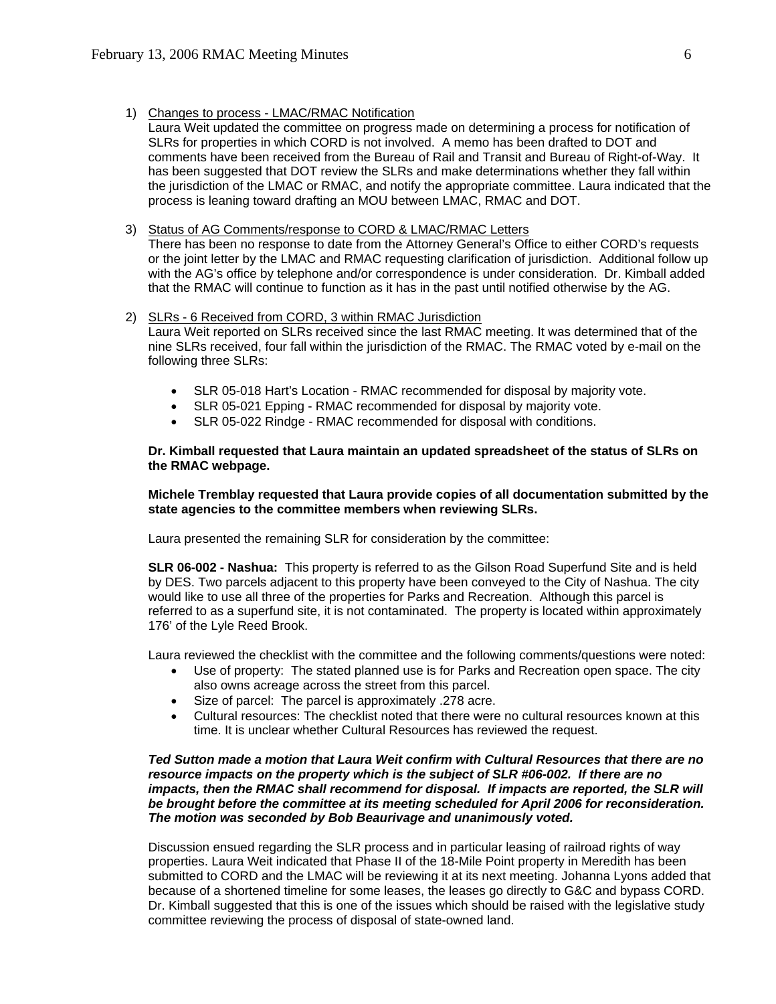- 1) Changes to process LMAC/RMAC Notification
	- Laura Weit updated the committee on progress made on determining a process for notification of SLRs for properties in which CORD is not involved. A memo has been drafted to DOT and comments have been received from the Bureau of Rail and Transit and Bureau of Right-of-Way. It has been suggested that DOT review the SLRs and make determinations whether they fall within the jurisdiction of the LMAC or RMAC, and notify the appropriate committee. Laura indicated that the process is leaning toward drafting an MOU between LMAC, RMAC and DOT.
- 3) Status of AG Comments/response to CORD & LMAC/RMAC Letters There has been no response to date from the Attorney General's Office to either CORD's requests or the joint letter by the LMAC and RMAC requesting clarification of jurisdiction. Additional follow up with the AG's office by telephone and/or correspondence is under consideration. Dr. Kimball added that the RMAC will continue to function as it has in the past until notified otherwise by the AG.

#### 2) SLRs - 6 Received from CORD, 3 within RMAC Jurisdiction

Laura Weit reported on SLRs received since the last RMAC meeting. It was determined that of the nine SLRs received, four fall within the jurisdiction of the RMAC. The RMAC voted by e-mail on the following three SLRs:

- SLR 05-018 Hart's Location RMAC recommended for disposal by majority vote.
- SLR 05-021 Epping RMAC recommended for disposal by majority vote.
- SLR 05-022 Rindge RMAC recommended for disposal with conditions.

#### **Dr. Kimball requested that Laura maintain an updated spreadsheet of the status of SLRs on the RMAC webpage.**

#### **Michele Tremblay requested that Laura provide copies of all documentation submitted by the state agencies to the committee members when reviewing SLRs.**

Laura presented the remaining SLR for consideration by the committee:

**SLR 06-002 - Nashua:** This property is referred to as the Gilson Road Superfund Site and is held by DES. Two parcels adjacent to this property have been conveyed to the City of Nashua. The city would like to use all three of the properties for Parks and Recreation. Although this parcel is referred to as a superfund site, it is not contaminated. The property is located within approximately 176' of the Lyle Reed Brook.

Laura reviewed the checklist with the committee and the following comments/questions were noted:

- Use of property: The stated planned use is for Parks and Recreation open space. The city also owns acreage across the street from this parcel.
- Size of parcel: The parcel is approximately .278 acre.
- Cultural resources: The checklist noted that there were no cultural resources known at this time. It is unclear whether Cultural Resources has reviewed the request.

#### *Ted Sutton made a motion that Laura Weit confirm with Cultural Resources that there are no resource impacts on the property which is the subject of SLR #06-002. If there are no impacts, then the RMAC shall recommend for disposal. If impacts are reported, the SLR will be brought before the committee at its meeting scheduled for April 2006 for reconsideration. The motion was seconded by Bob Beaurivage and unanimously voted.*

Discussion ensued regarding the SLR process and in particular leasing of railroad rights of way properties. Laura Weit indicated that Phase II of the 18-Mile Point property in Meredith has been submitted to CORD and the LMAC will be reviewing it at its next meeting. Johanna Lyons added that because of a shortened timeline for some leases, the leases go directly to G&C and bypass CORD. Dr. Kimball suggested that this is one of the issues which should be raised with the legislative study committee reviewing the process of disposal of state-owned land.